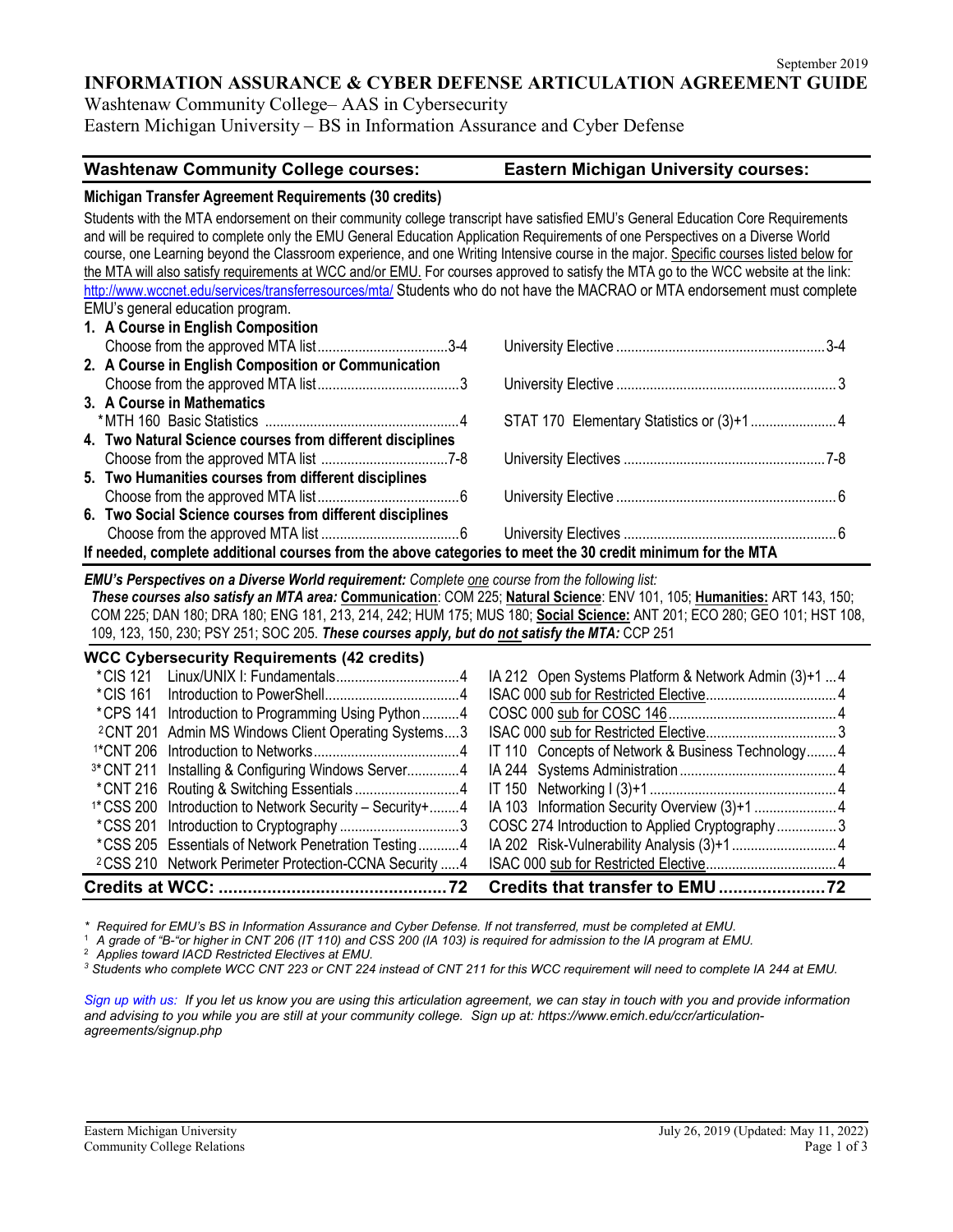**INFORMATION ASSURANCE & CYBER DEFENSE ARTICULATION AGREEMENT GUIDE**

Washtenaw Community College– AAS in Cybersecurity Eastern Michigan University – BS in Information Assurance and Cyber Defense

# **Washtenaw Community College courses: Eastern Michigan University courses:**

#### **Michigan Transfer Agreement Requirements (30 credits)**

Students with the MTA endorsement on their community college transcript have satisfied EMU's General Education Core Requirements and will be required to complete only the EMU General Education Application Requirements of one Perspectives on a Diverse World course, one Learning beyond the Classroom experience, and one Writing Intensive course in the major. Specific courses listed below for the MTA will also satisfy requirements at WCC and/or EMU. For courses approved to satisfy the MTA go to the WCC website at the link: <http://www.wccnet.edu/services/transferresources/mta/> Students who do not have the MACRAO or MTA endorsement must complete EMU's general education program.

| 1. A Course in English Composition                                                                         |  |  |  |
|------------------------------------------------------------------------------------------------------------|--|--|--|
|                                                                                                            |  |  |  |
| 2. A Course in English Composition or Communication                                                        |  |  |  |
|                                                                                                            |  |  |  |
| 3. A Course in Mathematics                                                                                 |  |  |  |
|                                                                                                            |  |  |  |
| 4. Two Natural Science courses from different disciplines                                                  |  |  |  |
|                                                                                                            |  |  |  |
| 5. Two Humanities courses from different disciplines                                                       |  |  |  |
|                                                                                                            |  |  |  |
| 6. Two Social Science courses from different disciplines                                                   |  |  |  |
|                                                                                                            |  |  |  |
| If needed, complete additional courses from the above categories to meet the 30 credit minimum for the MTA |  |  |  |

*EMU's Perspectives on a Diverse World requirement: Complete one course from the following list:* 

*These courses also satisfy an MTA area:* **Communication**: COM 225; **Natural Science**: ENV 101, 105; **Humanities:** ART 143, 150; COM 225; DAN 180; DRA 180; ENG 181, 213, 214, 242; HUM 175; MUS 180; **Social Science:** ANT 201; ECO 280; GEO 101; HST 108, 109, 123, 150, 230; PSY 251; SOC 205. *These courses apply, but do not satisfy the MTA:* CCP 251

| <sup>2</sup> CSS 210 Network Perimeter Protection-CCNA Security  4     |                                                      |  |  |
|------------------------------------------------------------------------|------------------------------------------------------|--|--|
| *CSS 205 Essentials of Network Penetration Testing4                    |                                                      |  |  |
|                                                                        | COSC 274 Introduction to Applied Cryptography3       |  |  |
| <sup>1*</sup> CSS 200 Introduction to Network Security - Security +  4 |                                                      |  |  |
|                                                                        |                                                      |  |  |
| <sup>3*</sup> CNT 211 Installing & Configuring Windows Server4         |                                                      |  |  |
|                                                                        | IT 110 Concepts of Network & Business Technology4    |  |  |
| <sup>2</sup> CNT 201 Admin MS Windows Client Operating Systems3        |                                                      |  |  |
| *CPS 141 Introduction to Programming Using Python4                     |                                                      |  |  |
|                                                                        |                                                      |  |  |
|                                                                        | IA 212 Open Systems Platform & Network Admin (3)+1 4 |  |  |
| <b>WCC Cybersecurity Requirements (42 credits)</b>                     |                                                      |  |  |

*\* Required for EMU's BS in Information Assurance and Cyber Defense. If not transferred, must be completed at EMU.*

<sup>1</sup> *A grade of "B-"or higher in CNT 206 (IT 110) and CSS 200 (IA 103) is required for admission to the IA program at EMU.*

<sup>3</sup> Students who complete WCC CNT 223 or CNT 224 instead of CNT 211 for this WCC requirement will need to complete IA 244 at EMU.

*[Sign up with us: I](https://www.emich.edu/ccr/articulation-agreements/signup.php)f you let us know you are using this articulation agreement, we can stay in touch with you and provide information and advising to you while you are still at your community college. Sign up at: https://www.emich.edu/ccr/articulationagreements/signup.php*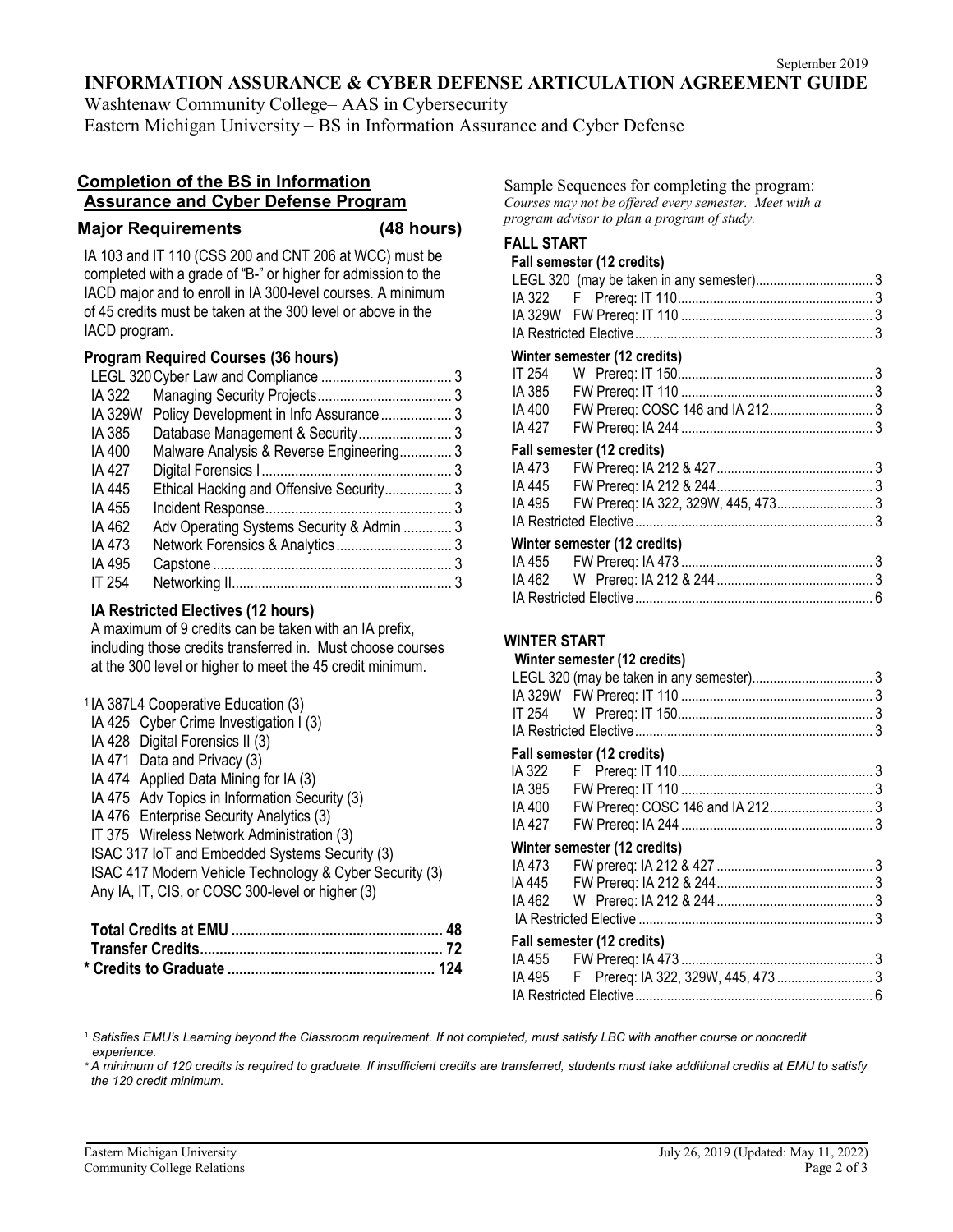#### **INFORMATION ASSURANCE & CYBER DEFENSE ARTICULATION AGREEMENT GUIDE**

Washtenaw Community College– AAS in Cybersecurity Eastern Michigan University – BS in Information Assurance and Cyber Defense

#### **Completion of the BS in Information Assurance and Cyber Defense Program**

#### **Major Requirements (48 hours)**

IA 103 and IT 110 (CSS 200 and CNT 206 at WCC) must be completed with a grade of "B-" or higher for admission to the IACD major and to enroll in IA 300-level courses. A minimum of 45 credits must be taken at the 300 level or above in the IACD program.

# **Program Required Courses (36 hours)**

| IA 322        |                                           |  |
|---------------|-------------------------------------------|--|
| IA 329W       | Policy Development in Info Assurance 3    |  |
| IA 385        |                                           |  |
| IA 400        | Malware Analysis & Reverse Engineering 3  |  |
| IA 427        |                                           |  |
| IA 445        | Ethical Hacking and Offensive Security 3  |  |
| IA 455        |                                           |  |
| IA 462        | Adv Operating Systems Security & Admin  3 |  |
| IA 473        |                                           |  |
| IA 495        |                                           |  |
| <b>IT 254</b> |                                           |  |
|               |                                           |  |

# **IA Restricted Electives (12 hours)**

A maximum of 9 credits can be taken with an IA prefix, including those credits transferred in. Must choose courses at the 300 level or higher to meet the 45 credit minimum.

| <sup>1</sup> IA 387L4 Cooperative Education (3)         |
|---------------------------------------------------------|
| IA 425 Cyber Crime Investigation I (3)                  |
| IA 428 Digital Forensics II (3)                         |
| IA 471 Data and Privacy (3)                             |
| IA 474 Applied Data Mining for IA (3)                   |
| IA 475 Adv Topics in Information Security (3)           |
| IA 476 Enterprise Security Analytics (3)                |
| IT 375 Wireless Network Administration (3)              |
| ISAC 317 IoT and Embedded Systems Security (3)          |
| ISAC 417 Modern Vehicle Technology & Cyber Security (3) |
| Any IA, IT, CIS, or COSC 300-level or higher (3)        |
|                                                         |

Sample Sequences for completing the program: *Courses may not be offered every semester. Meet with a program advisor to plan a program of study.*

# **FALL START**

|        | Fall semester (12 credits)   |  |
|--------|------------------------------|--|
|        |                              |  |
|        |                              |  |
|        |                              |  |
|        |                              |  |
|        | Winter semester (12 credits) |  |
|        |                              |  |
|        |                              |  |
|        |                              |  |
| IA 427 |                              |  |
|        | Fall semester (12 credits)   |  |
| IA 473 |                              |  |
|        |                              |  |
| IA 495 |                              |  |
|        |                              |  |
|        | Winter semester (12 credits) |  |
|        |                              |  |
|        |                              |  |
|        |                              |  |

### **WINTER START**

#### **Winter semester (12 credits)**

| <b>THING SCILLCORE LE GIGARDI</b> |  |
|-----------------------------------|--|
|                                   |  |
|                                   |  |
|                                   |  |
|                                   |  |
|                                   |  |

#### **Fall semester (12 credits)**

| $1$ an oomootor (if oroano)  |  |  |
|------------------------------|--|--|
|                              |  |  |
|                              |  |  |
|                              |  |  |
|                              |  |  |
| Winter semester (12 credits) |  |  |
|                              |  |  |
|                              |  |  |
|                              |  |  |
|                              |  |  |
| Fall semester (12 credits)   |  |  |
|                              |  |  |
|                              |  |  |
|                              |  |  |
|                              |  |  |

<sup>1</sup> *Satisfies EMU's Learning beyond the Classroom requirement. If not completed, must satisfy LBC with another course or noncredit experience.*

*\* A minimum of 120 credits is required to graduate. If insufficient credits are transferred, students must take additional credits at EMU to satisfy the 120 credit minimum.*